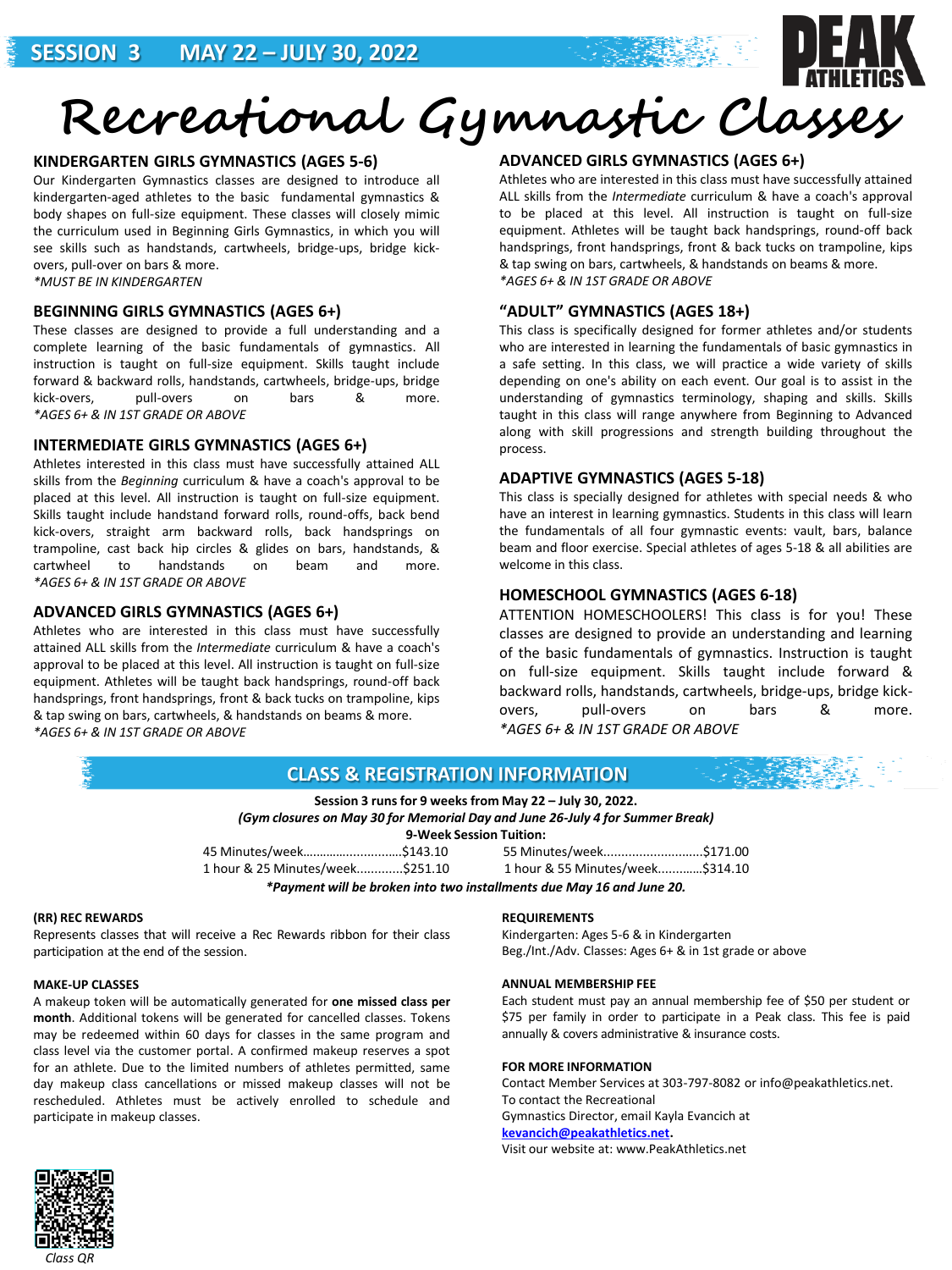

# **KINDERGARTEN GIRLS GYMNASTICS (AGES 5-6)**

Our Kindergarten Gymnastics classes are designed to introduce all kindergarten-aged athletes to the basic fundamental gymnastics & body shapes on full-size equipment. These classes will closely mimic the curriculum used in Beginning Girls Gymnastics, in which you will see skills such as handstands, cartwheels, bridge-ups, bridge kickovers, pull-over on bars & more. *\*MUST BE IN KINDERGARTEN*

### **BEGINNING GIRLS GYMNASTICS (AGES 6+)**

These classes are designed to provide a full understanding and a complete learning of the basic fundamentals of gymnastics. All instruction is taught on full-size equipment. Skills taught include forward & backward rolls, handstands, cartwheels, bridge-ups, bridge kick-overs, pull-overs on bars & more. *\*AGES 6+ & IN 1ST GRADE OR ABOVE*

#### **INTERMEDIATE GIRLS GYMNASTICS (AGES 6+)**

Athletes interested in this class must have successfully attained ALL skills from the *Beginning* curriculum & have a coach's approval to be placed at this level. All instruction is taught on full-size equipment. Skills taught include handstand forward rolls, round-offs, back bend kick-overs, straight arm backward rolls, back handsprings on trampoline, cast back hip circles & glides on bars, handstands, & cartwheel to handstands on beam and more. *\*AGES 6+ & IN 1ST GRADE OR ABOVE*

### **ADVANCED GIRLS GYMNASTICS (AGES 6+)**

Athletes who are interested in this class must have successfully attained ALL skills from the *Intermediate* curriculum & have a coach's approval to be placed at this level. All instruction is taught on full-size equipment. Athletes will be taught back handsprings, round-off back handsprings, front handsprings, front & back tucks on trampoline, kips & tap swing on bars, cartwheels, & handstands on beams & more. *\*AGES 6+ & IN 1ST GRADE OR ABOVE*

# **ADVANCED GIRLS GYMNASTICS (AGES 6+)**

Athletes who are interested in this class must have successfully attained ALL skills from the *Intermediate* curriculum & have a coach's approval to be placed at this level. All instruction is taught on full-size equipment. Athletes will be taught back handsprings, round-off back handsprings, front handsprings, front & back tucks on trampoline, kips & tap swing on bars, cartwheels, & handstands on beams & more. *\*AGES 6+ & IN 1ST GRADE OR ABOVE*

# **"ADULT" GYMNASTICS (AGES 18+)**

This class is specifically designed for former athletes and/or students who are interested in learning the fundamentals of basic gymnastics in a safe setting. In this class, we will practice a wide variety of skills depending on one's ability on each event. Our goal is to assist in the understanding of gymnastics terminology, shaping and skills. Skills taught in this class will range anywhere from Beginning to Advanced along with skill progressions and strength building throughout the process.

# **ADAPTIVE GYMNASTICS (AGES 5-18)**

This class is specially designed for athletes with special needs & who have an interest in learning gymnastics. Students in this class will learn the fundamentals of all four gymnastic events: vault, bars, balance beam and floor exercise. Special athletes of ages 5-18 & all abilities are welcome in this class.

# **HOMESCHOOL GYMNASTICS (AGES 6-18)**

ATTENTION HOMESCHOOLERS! This class is for you! These classes are designed to provide an understanding and learning of the basic fundamentals of gymnastics. Instruction is taught on full-size equipment. Skills taught include forward & backward rolls, handstands, cartwheels, bridge-ups, bridge kickovers, pull-overs on bars & more. *\*AGES 6+ & IN 1ST GRADE OR ABOVE*



Represents classes that will receive a Rec Rewards ribbon for their class participation at the end of the session.

#### **MAKE-UP CLASSES**

A makeup token will be automatically generated for **one missed class per month**. Additional tokens will be generated for cancelled classes. Tokens may be redeemed within 60 days for classes in the same program and class level via the customer portal. A confirmed makeup reserves a spot for an athlete. Due to the limited numbers of athletes permitted, same day makeup class cancellations or missed makeup classes will not be rescheduled. Athletes must be actively enrolled to schedule and participate in makeup classes.

Kindergarten: Ages 5-6 & in Kindergarten Beg./Int./Adv. Classes: Ages 6+ & in 1st grade or above

#### **ANNUAL MEMBERSHIP FEE**

Each student must pay an annual membership fee of \$50 per student or \$75 per family in order to participate in a Peak class. This fee is paid annually & covers administrative & insurance costs.

#### **FOR MORE INFORMATION**

Contact Member Services at 303-797-8082 or info@peakathletics.net. To contact the Recreational Gymnastics Director, email Kayla Evancich at **[kevancich@peakathletics.net.](mailto:kevancich@peakathletics.net)** Visit our website at: www.PeakAthletics.net